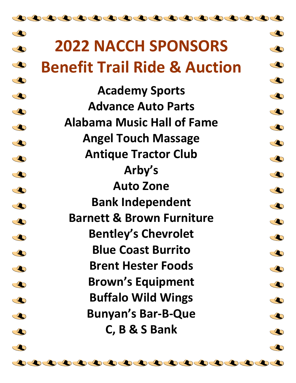## $\triangle$  $\overline{\mathbf{C}}$ **2022 NACCH SPONSORS**   $\overline{\mathbf{C}}$  $\bullet$  $\triangle$ **Benefit Trail Ride & Auction**   $\overline{\mathbf{C}}$  $\bigcirc$  $\triangle$ **Academy Sports**  $\triangle$  $\triangle$ **Advance Auto Parts**  $\bullet$  $\begin{smallmatrix}\end{smallmatrix}$ **Alabama Music Hall of Fame**  $\blacklozenge$  $\triangle$ **Angel Touch Massage**  $\bullet$  $\begin{smallmatrix}\mathbf{\mathcal{L}}\end{smallmatrix}$ **Antique Tractor Club**  $\triangle$  $\overline{\mathbf{C}}$ **Arby's**  $\bullet$  $\overline{\mathbf{C}}$ **Auto Zone**  $\triangle$  $\bullet$ **Bank Independent**  $\bullet$  $\overline{\mathbf{C}}$ **Barnett & Brown Furniture**  $\overline{\mathbf{C}}$  $\overline{\mathbf{C}}$ **Bentley's Chevrolet**  $\bigcirc$  $\bullet$ **Blue Coast Burrito**  $\triangle$  $\triangle$ **Brent Hester Foods**  $\bullet$  $\subset \bullet$ **Brown's Equipment**  $\triangle$  $\triangle$ **Buffalo Wild Wings**  $\bullet$  $\triangle$ **Bunyan's Bar-B-Que**  $\triangle$  $\begin{smallmatrix}\end{smallmatrix}$ **C, B & S Bank** $\triangle$  $\mathbf{C}$  $\bullet$  $\triangle$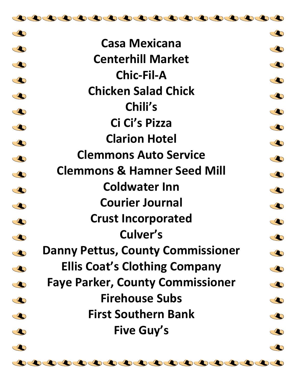

| $\bigcirc$  |                                          | $\bullet$  |
|-------------|------------------------------------------|------------|
| $\clubsuit$ | <b>Casa Mexicana</b>                     | $\bullet$  |
| O           | <b>Centerhill Market</b>                 | $\bullet$  |
| $\bigcirc$  | <b>Chic-Fil-A</b>                        | $\bullet$  |
| O           | <b>Chicken Salad Chick</b>               | $\bullet$  |
| $\bigcirc$  | Chili's                                  | O          |
| $\bigcirc$  | Ci Ci's Pizza                            | $\bullet$  |
| $\bigcirc$  | <b>Clarion Hotel</b>                     | $\bullet$  |
| O           | <b>Clemmons Auto Service</b>             |            |
|             | <b>Clemmons &amp; Hamner Seed Mill</b>   | $\bullet$  |
| $\clubsuit$ | <b>Coldwater Inn</b>                     | $\bullet$  |
| $\bigcirc$  | <b>Courier Journal</b>                   | $\bullet$  |
| $\bigcirc$  |                                          | $\bullet$  |
| O           | <b>Crust Incorporated</b>                | $\bullet$  |
| $\bullet$   | Culver's                                 | $\bigodot$ |
| $\bigcirc$  | <b>Danny Pettus, County Commissioner</b> | $\bigcirc$ |
| $\bigcirc$  | <b>Ellis Coat's Clothing Company</b>     | $\bullet$  |
| $\triangle$ | <b>Faye Parker, County Commissioner</b>  | $\bullet$  |
| $\bigcirc$  | <b>Firehouse Subs</b>                    | $\bullet$  |
| $\bullet$   | <b>First Southern Bank</b>               | $\bullet$  |
| O           | <b>Five Guy's</b>                        | O          |
|             |                                          |            |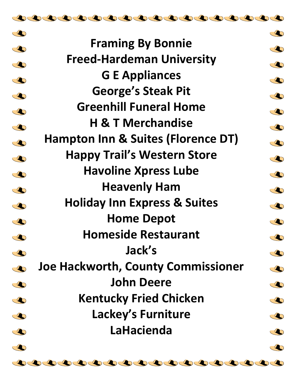

 $\begin{smallmatrix}\mathbf{\bullet} \end{smallmatrix}$ 

 $\bullet$ 

 $\overline{\mathbf{C}}$ 

 $\bullet$ 

 $\triangle$ 

 $\begin{smallmatrix}\end{smallmatrix}$ 

 $\triangle$ 

 $\begin{smallmatrix}\end{smallmatrix}$ 

 $\overline{\mathbf{C}}$ 

 $\bullet$ 

 $\bullet$ 

 $\overline{\mathbf{C}}$ 

 $\overline{\mathbf{C}}$ 

 $\begin{smallmatrix}\end{smallmatrix}$ 

 $\triangle$ 

 $\subset \bullet$ 

 $\triangle$ 

 $\triangle$ 

 $\begin{smallmatrix}\end{smallmatrix}$ 

 $\overline{\mathbf{C}}$ 

 $\triangle$ 

 $\bigcirc$  $\triangle$  $\bullet$  $\bigcirc$  $\triangle$  $\bullet$  $\blacklozenge$  $\blacklozenge$  $\triangle$  $\bigcirc$  $\triangle$  $\bullet$  $\triangle$  $\bigcirc$  $\clubsuit$  $\triangle$  $\bullet$  $\bigcirc$  $\triangle$  $\triangle$  $\bullet$ 

**Framing By Bonnie Freed-Hardeman University G E Appliances George's Steak Pit Greenhill Funeral Home H & T Merchandise Hampton Inn & Suites (Florence DT) Happy Trail's Western Store Havoline Xpress Lube Heavenly Ham Holiday Inn Express & Suites Home Depot Homeside Restaurant Jack's Joe Hackworth, County Commissioner John Deere Kentucky Fried Chicken Lackey's Furniture LaHacienda**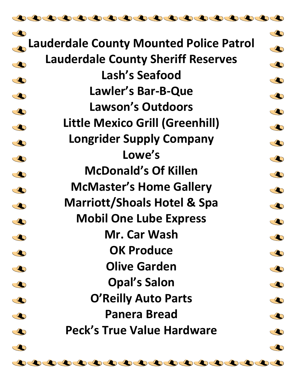| $\bigcirc$                                              | $\bullet$             |
|---------------------------------------------------------|-----------------------|
| <b>Lauderdale County Mounted Police Patrol</b>          |                       |
| <b>Lauderdale County Sheriff Reserves</b><br>$\bigcirc$ | $\bullet$             |
| Lash's Seafood<br>$\bigcirc$                            | $\bigcirc$            |
| Lawler's Bar-B-Que<br>$\bigcirc$                        | $\clubsuit$           |
| <b>Lawson's Outdoors</b><br>$\bigcirc$                  | $\clubsuit$           |
| Little Mexico Grill (Greenhill)<br>$\bullet$            | $\bullet$             |
| <b>Longrider Supply Company</b><br>$\bigcirc$           | $\blacktriangleright$ |
| Lowe's<br>$\bigcirc$                                    | $\clubsuit$           |
| <b>McDonald's Of Killen</b><br>$\bigcirc$               | $\clubsuit$           |
| <b>McMaster's Home Gallery</b><br>$\bigcirc$            | $\clubsuit$           |
| <b>Marriott/Shoals Hotel &amp; Spa</b><br>$\bigcirc$    | $\clubsuit$           |
| <b>Mobil One Lube Express</b><br>$\bullet$              | $\clubsuit$           |
| Mr. Car Wash<br>$\bullet$                               | $\bigcirc$            |
| <b>OK Produce</b><br>$\bigcirc$                         | $\bigcirc$            |
| <b>Olive Garden</b><br>$\bigcirc$                       | $\clubsuit$           |
| <b>Opal's Salon</b><br>O                                | $\clubsuit$           |
| <b>O'Reilly Auto Parts</b><br>$\bigcirc$                | $\clubsuit$           |
| <b>Panera Bread</b><br>$\bigcirc$                       | $\bigcirc$            |
| <b>Peck's True Value Hardware</b>                       |                       |
| $\bigcirc$                                              | $\bullet$             |
| $\bullet$                                               | $\bullet$             |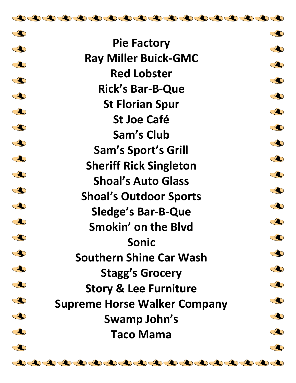| $\bigcirc$  |                                     | $\bigcirc$ |
|-------------|-------------------------------------|------------|
| $\bigcirc$  | <b>Pie Factory</b>                  | $\bigcirc$ |
| $\bigcirc$  | <b>Ray Miller Buick-GMC</b>         | $\bigcirc$ |
| $\bigcirc$  | <b>Red Lobster</b>                  |            |
|             | <b>Rick's Bar-B-Que</b>             | $\bigcirc$ |
| $\bigcirc$  | <b>St Florian Spur</b>              | $\bigcirc$ |
| $\bigcirc$  | <b>St Joe Café</b>                  | $\bigcirc$ |
| $\bigcirc$  | <b>Sam's Club</b>                   | $\bigcirc$ |
| $\bigcirc$  | <b>Sam's Sport's Grill</b>          | $\bigcirc$ |
| $\bigcirc$  | <b>Sheriff Rick Singleton</b>       | $\bigcirc$ |
| $\bigcirc$  | <b>Shoal's Auto Glass</b>           | $\bigcirc$ |
| $\bigcirc$  | <b>Shoal's Outdoor Sports</b>       | $\bigcirc$ |
| $\bigcirc$  | <b>Sledge's Bar-B-Que</b>           | O          |
| $\bigcirc$  | Smokin' on the Blvd                 | $\bigcirc$ |
| $\bigcirc$  | <b>Sonic</b>                        | $\bigcirc$ |
| $\bullet$   | <b>Southern Shine Car Wash</b>      |            |
| $\bigcirc$  | <b>Stagg's Grocery</b>              | $\bigcirc$ |
| $\bigcirc$  | <b>Story &amp; Lee Furniture</b>    | $\bigcirc$ |
| $\bigcirc$  | <b>Supreme Horse Walker Company</b> | $\bigcirc$ |
| $\triangle$ | Swamp John's                        | $\bigcirc$ |
| $\bigcirc$  | <b>Taco Mama</b>                    | $\bigcirc$ |
| $\bullet$   |                                     | O          |

100000000000000000